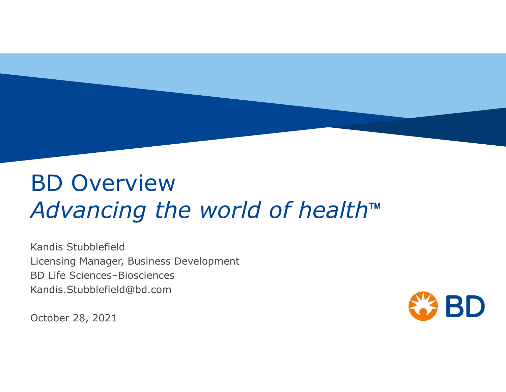# BD Overview Advancing the world of health™

Kandis Stubblefield Licensing Manager, Business Development BD Life Sciences–Biosciences Kandis.Stubblefield@bd.com

October 28, 2021

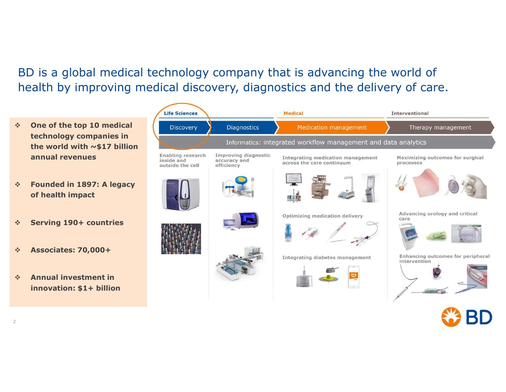BD is a global medical technology company that is advancing the world of health by improving medical discovery, diagnostics and the delivery of care.

- $\div$  One of the top 10 medical **CONFING** Discovery technology companies in the world with  $\sim$ \$17 billion
- Founded in 1897: A legacy of health impact
- Serving 190+ countries
- Associates: 70,000+
- Annual investment in innovation: \$1+ billion

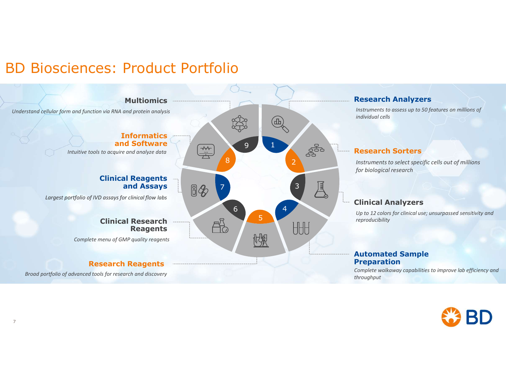## BD Biosciences: Product Portfolio



#### Research Analyzers

Instruments to assess up to 50 features on millions of individual cells

**2** Instruments to select specific cells out of millions for biological research

#### Clinical Analyzers

### Automated Sample

Complete walkaway capabilities to improve lab efficiency and throughput

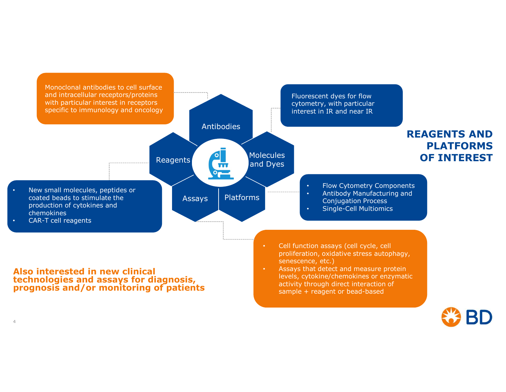